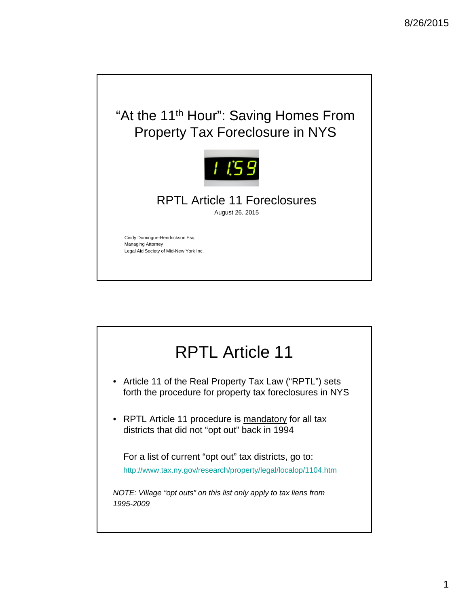

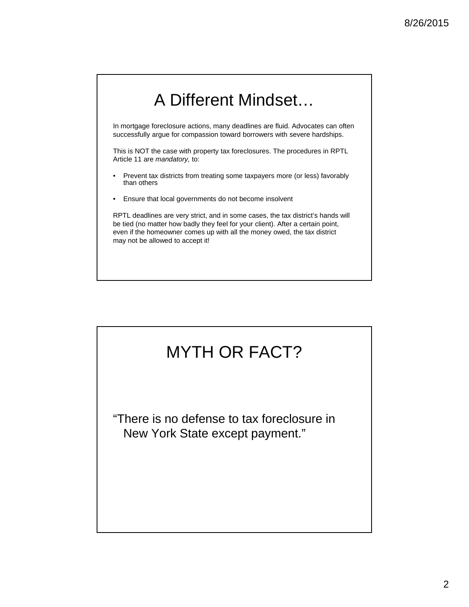# A Different Mindset…

In mortgage foreclosure actions, many deadlines are fluid. Advocates can often successfully argue for compassion toward borrowers with severe hardships.

This is NOT the case with property tax foreclosures. The procedures in RPTL Article 11 are *mandatory,* to:

- Prevent tax districts from treating some taxpayers more (or less) favorably than others
- Ensure that local governments do not become insolvent

RPTL deadlines are very strict, and in some cases, the tax district's hands will be tied (no matter how badly they feel for your client). After a certain point, even if the homeowner comes up with all the money owed, the tax district may not be allowed to accept it!

## MYTH OR FACT?

"There is no defense to tax foreclosure in New York State except payment."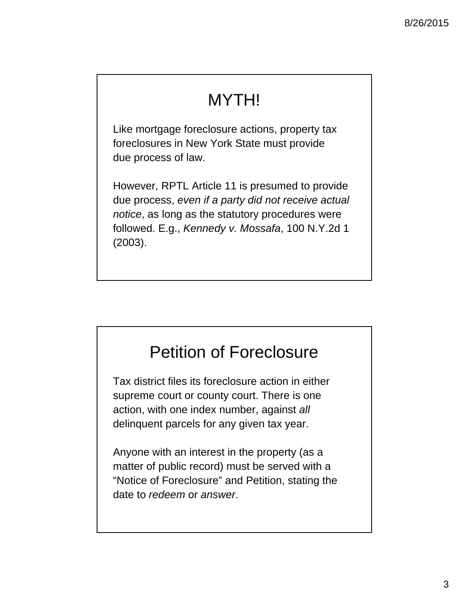# MYTH!

Like mortgage foreclosure actions, property tax foreclosures in New York State must provide due process of law.

However, RPTL Article 11 is presumed to provide due process, *even if a party did not receive actual notice*, as long as the statutory procedures were followed. E.g., *Kennedy v. Mossafa*, 100 N.Y.2d 1 (2003).

# Petition of Foreclosure

Tax district files its foreclosure action in either supreme court or county court. There is one action, with one index number, against *all*  delinquent parcels for any given tax year.

Anyone with an interest in the property (as a matter of public record) must be served with a "Notice of Foreclosure" and Petition, stating the date to *redeem* or *answer*.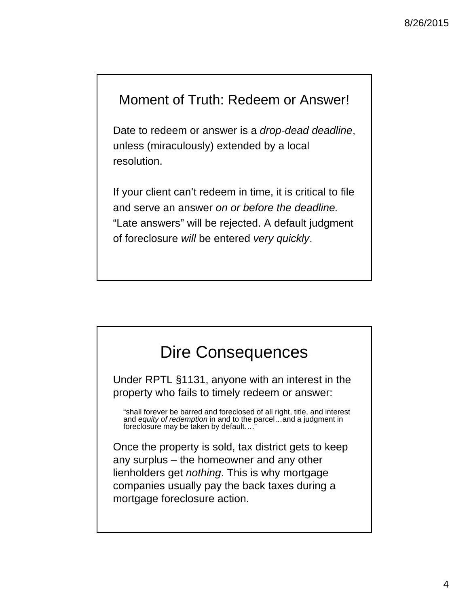#### Moment of Truth: Redeem or Answer!

Date to redeem or answer is a *drop-dead deadline*, unless (miraculously) extended by a local resolution.

If your client can't redeem in time, it is critical to file and serve an answer *on or before the deadline.*  "Late answers" will be rejected. A default judgment of foreclosure *will* be entered *very quickly*.

# Dire Consequences

Under RPTL §1131, anyone with an interest in the property who fails to timely redeem or answer:

"shall forever be barred and foreclosed of all right, title, and interest and *equity of redemption* in and to the parcel…and a judgment in foreclosure may be taken by default…."

Once the property is sold, tax district gets to keep any surplus – the homeowner and any other lienholders get *nothing*. This is why mortgage companies usually pay the back taxes during a mortgage foreclosure action.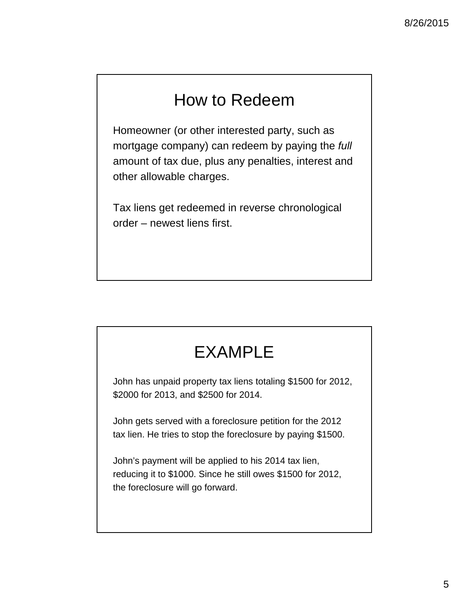# How to Redeem

Homeowner (or other interested party, such as mortgage company) can redeem by paying the *full* amount of tax due, plus any penalties, interest and other allowable charges.

Tax liens get redeemed in reverse chronological order – newest liens first.

# EXAMPLE

John has unpaid property tax liens totaling \$1500 for 2012, \$2000 for 2013, and \$2500 for 2014.

John gets served with a foreclosure petition for the 2012 tax lien. He tries to stop the foreclosure by paying \$1500.

John's payment will be applied to his 2014 tax lien, reducing it to \$1000. Since he still owes \$1500 for 2012, the foreclosure will go forward.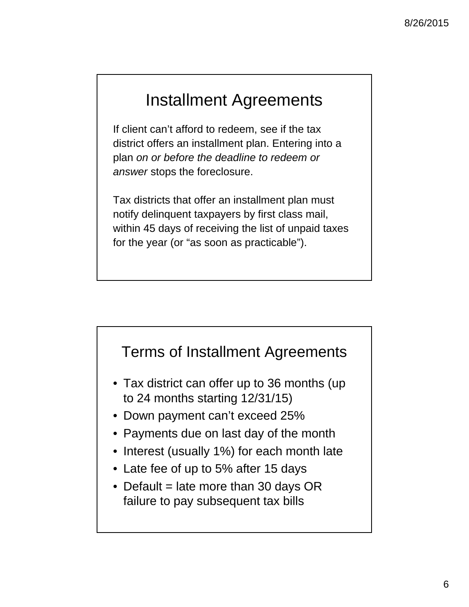# Installment Agreements

If client can't afford to redeem, see if the tax district offers an installment plan. Entering into a plan *on or before the deadline to redeem or answer* stops the foreclosure.

Tax districts that offer an installment plan must notify delinquent taxpayers by first class mail, within 45 days of receiving the list of unpaid taxes for the year (or "as soon as practicable").

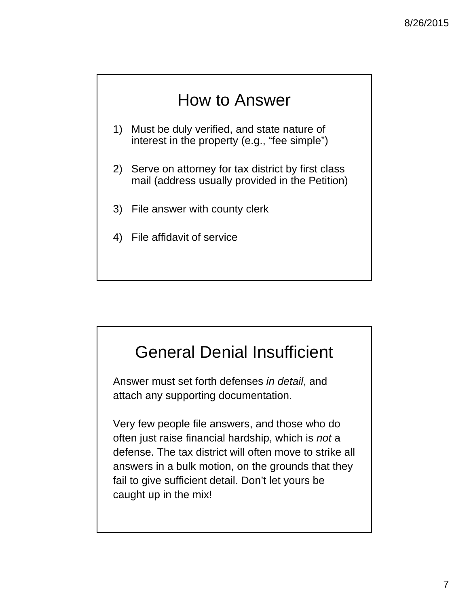# How to Answer

- 1) Must be duly verified, and state nature of interest in the property (e.g., "fee simple")
- 2) Serve on attorney for tax district by first class mail (address usually provided in the Petition)
- 3) File answer with county clerk
- 4) File affidavit of service

## General Denial Insufficient

Answer must set forth defenses *in detail*, and attach any supporting documentation.

Very few people file answers, and those who do often just raise financial hardship, which is *not* a defense. The tax district will often move to strike all answers in a bulk motion, on the grounds that they fail to give sufficient detail. Don't let yours be caught up in the mix!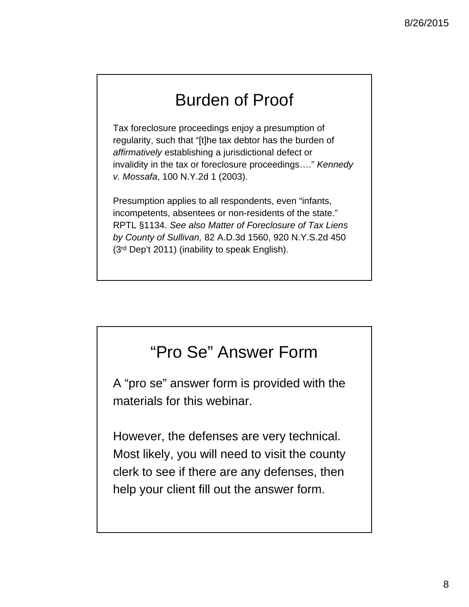# Burden of Proof

Tax foreclosure proceedings enjoy a presumption of regularity, such that "[t]he tax debtor has the burden of *affirmatively* establishing a jurisdictional defect or invalidity in the tax or foreclosure proceedings…." *Kennedy v. Mossafa*, 100 N.Y.2d 1 (2003).

Presumption applies to all respondents, even "infants, incompetents, absentees or non-residents of the state." RPTL §1134. *See also Matter of Foreclosure of Tax Liens by County of Sullivan,* 82 A.D.3d 1560, 920 N.Y.S.2d 450 (3rd Dep't 2011) (inability to speak English).

# "Pro Se" Answer Form

A "pro se" answer form is provided with the materials for this webinar.

However, the defenses are very technical. Most likely, you will need to visit the county clerk to see if there are any defenses, then help your client fill out the answer form.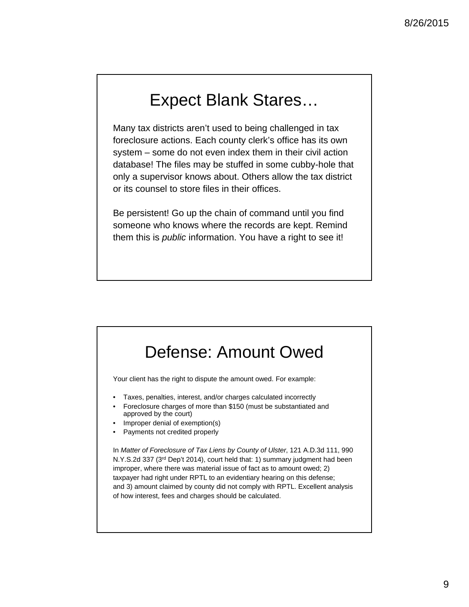# Expect Blank Stares…

Many tax districts aren't used to being challenged in tax foreclosure actions. Each county clerk's office has its own system – some do not even index them in their civil action database! The files may be stuffed in some cubby-hole that only a supervisor knows about. Others allow the tax district or its counsel to store files in their offices.

Be persistent! Go up the chain of command until you find someone who knows where the records are kept. Remind them this is *public* information. You have a right to see it!

#### Defense: Amount Owed

Your client has the right to dispute the amount owed. For example:

- Taxes, penalties, interest, and/or charges calculated incorrectly
- Foreclosure charges of more than \$150 (must be substantiated and approved by the court)
- Improper denial of exemption(s)
- Payments not credited properly

In *Matter of Foreclosure of Tax Liens by County of Ulster*, 121 A.D.3d 111, 990 N.Y.S.2d 337 (3rd Dep't 2014), court held that: 1) summary judgment had been improper, where there was material issue of fact as to amount owed; 2) taxpayer had right under RPTL to an evidentiary hearing on this defense; and 3) amount claimed by county did not comply with RPTL. Excellent analysis of how interest, fees and charges should be calculated.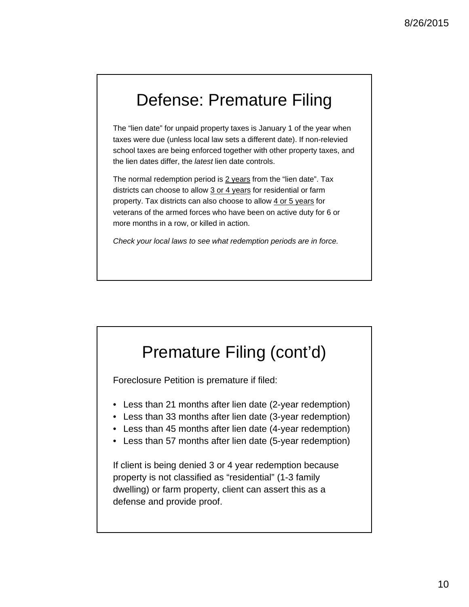## Defense: Premature Filing

The "lien date" for unpaid property taxes is January 1 of the year when taxes were due (unless local law sets a different date). If non-relevied school taxes are being enforced together with other property taxes, and the lien dates differ, the *latest* lien date controls.

The normal redemption period is 2 years from the "lien date". Tax districts can choose to allow 3 or 4 years for residential or farm property. Tax districts can also choose to allow 4 or 5 years for veterans of the armed forces who have been on active duty for 6 or more months in a row, or killed in action.

*Check your local laws to see what redemption periods are in force.*

### Premature Filing (cont'd)

Foreclosure Petition is premature if filed:

- Less than 21 months after lien date (2-year redemption)
- Less than 33 months after lien date (3-year redemption)
- Less than 45 months after lien date (4-year redemption)
- Less than 57 months after lien date (5-year redemption)

If client is being denied 3 or 4 year redemption because property is not classified as "residential" (1-3 family dwelling) or farm property, client can assert this as a defense and provide proof.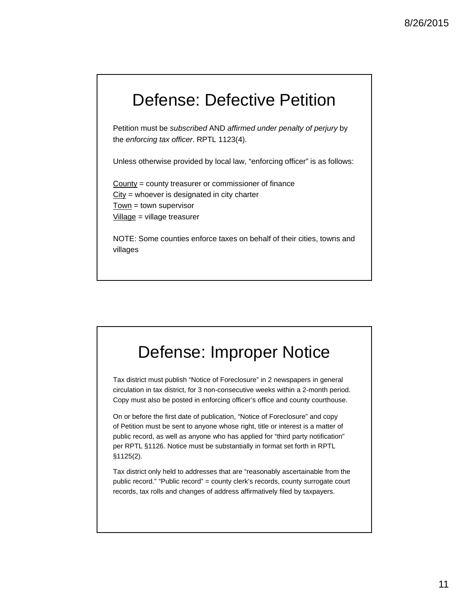### Defense: Defective Petition

Petition must be *subscribed* AND *affirmed under penalty of perjury* by the *enforcing tax officer*. RPTL 1123(4).

Unless otherwise provided by local law, "enforcing officer" is as follows:

County = county treasurer or commissioner of finance City = whoever is designated in city charter Town = town supervisor Village = village treasurer

NOTE: Some counties enforce taxes on behalf of their cities, towns and villages

### Defense: Improper Notice

Tax district must publish "Notice of Foreclosure" in 2 newspapers in general circulation in tax district, for 3 non-consecutive weeks within a 2-month period. Copy must also be posted in enforcing officer's office and county courthouse.

On or before the first date of publication, "Notice of Foreclosure" and copy of Petition must be sent to anyone whose right, title or interest is a matter of public record, as well as anyone who has applied for "third party notification" per RPTL §1126. Notice must be substantially in format set forth in RPTL §1125(2).

Tax district only held to addresses that are "reasonably ascertainable from the public record." "Public record" = county clerk's records, county surrogate court records, tax rolls and changes of address affirmatively filed by taxpayers.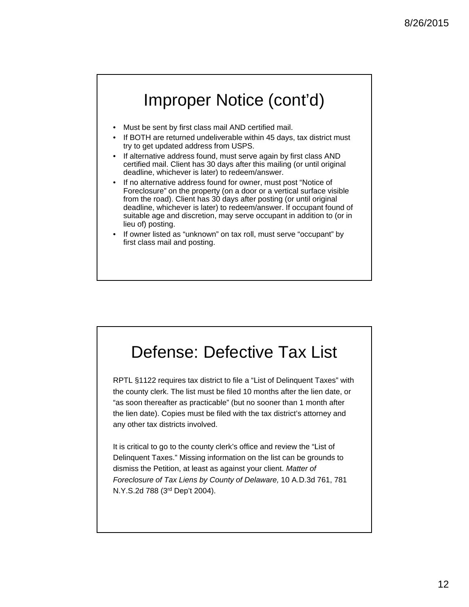## Improper Notice (cont'd)

- Must be sent by first class mail AND certified mail.
- If BOTH are returned undeliverable within 45 days, tax district must try to get updated address from USPS.
- If alternative address found, must serve again by first class AND certified mail. Client has 30 days after this mailing (or until original deadline, whichever is later) to redeem/answer.
- If no alternative address found for owner, must post "Notice of Foreclosure" on the property (on a door or a vertical surface visible from the road). Client has 30 days after posting (or until original deadline, whichever is later) to redeem/answer. If occupant found of suitable age and discretion, may serve occupant in addition to (or in lieu of) posting.
- If owner listed as "unknown" on tax roll, must serve "occupant" by first class mail and posting.

#### Defense: Defective Tax List RPTL §1122 requires tax district to file a "List of Delinquent Taxes" with the county clerk. The list must be filed 10 months after the lien date, or "as soon thereafter as practicable" (but no sooner than 1 month after the lien date). Copies must be filed with the tax district's attorney and any other tax districts involved. It is critical to go to the county clerk's office and review the "List of Delinquent Taxes." Missing information on the list can be grounds to dismiss the Petition, at least as against your client. *Matter of Foreclosure of Tax Liens by County of Delaware,* 10 A.D.3d 761, 781 N.Y.S.2d 788 (3rd Dep't 2004).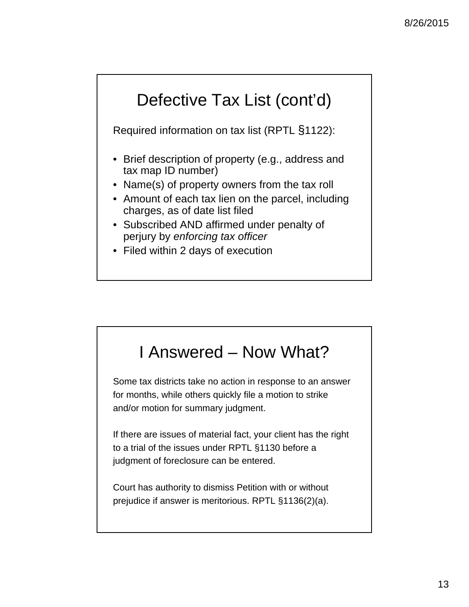# Defective Tax List (cont'd)

Required information on tax list (RPTL §1122):

- Brief description of property (e.g., address and tax map ID number)
- Name(s) of property owners from the tax roll
- Amount of each tax lien on the parcel, including charges, as of date list filed
- Subscribed AND affirmed under penalty of perjury by *enforcing tax officer*
- Filed within 2 days of execution

## I Answered – Now What?

Some tax districts take no action in response to an answer for months, while others quickly file a motion to strike and/or motion for summary judgment.

If there are issues of material fact, your client has the right to a trial of the issues under RPTL §1130 before a judgment of foreclosure can be entered.

Court has authority to dismiss Petition with or without prejudice if answer is meritorious. RPTL §1136(2)(a).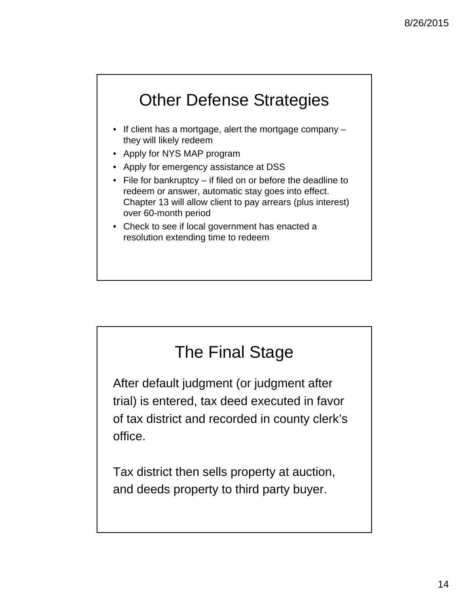# Other Defense Strategies

- If client has a mortgage, alert the mortgage company they will likely redeem
- Apply for NYS MAP program
- Apply for emergency assistance at DSS
- File for bankruptcy if filed on or before the deadline to redeem or answer, automatic stay goes into effect. Chapter 13 will allow client to pay arrears (plus interest) over 60-month period
- Check to see if local government has enacted a resolution extending time to redeem

# The Final Stage

After default judgment (or judgment after trial) is entered, tax deed executed in favor of tax district and recorded in county clerk's office.

Tax district then sells property at auction, and deeds property to third party buyer.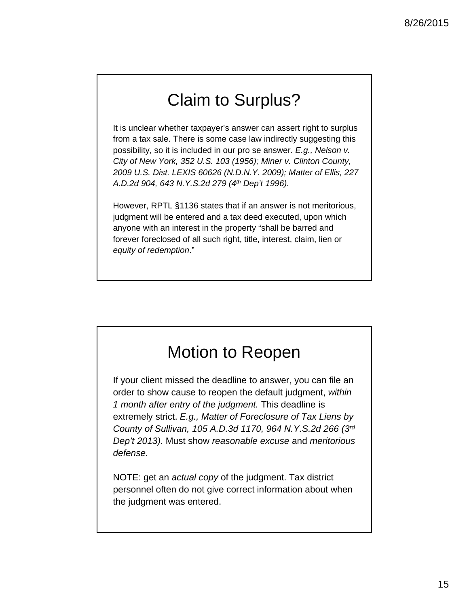# Claim to Surplus?

It is unclear whether taxpayer's answer can assert right to surplus from a tax sale. There is some case law indirectly suggesting this possibility, so it is included in our pro se answer. *E.g., Nelson v. City of New York, 352 U.S. 103 (1956); Miner v. Clinton County, 2009 U.S. Dist. LEXIS 60626 (N.D.N.Y. 2009); Matter of Ellis, 227 A.D.2d 904, 643 N.Y.S.2d 279 (4th Dep't 1996).*

However, RPTL §1136 states that if an answer is not meritorious, judgment will be entered and a tax deed executed, upon which anyone with an interest in the property "shall be barred and forever foreclosed of all such right, title, interest, claim, lien or *equity of redemption*."

# Motion to Reopen

If your client missed the deadline to answer, you can file an order to show cause to reopen the default judgment, *within 1 month after entry of the judgment.* This deadline is extremely strict. *E.g., Matter of Foreclosure of Tax Liens by County of Sullivan, 105 A.D.3d 1170, 964 N.Y.S.2d 266 (3rd Dep't 2013).* Must show *reasonable excuse* and *meritorious defense.*

NOTE: get an *actual copy* of the judgment. Tax district personnel often do not give correct information about when the judgment was entered.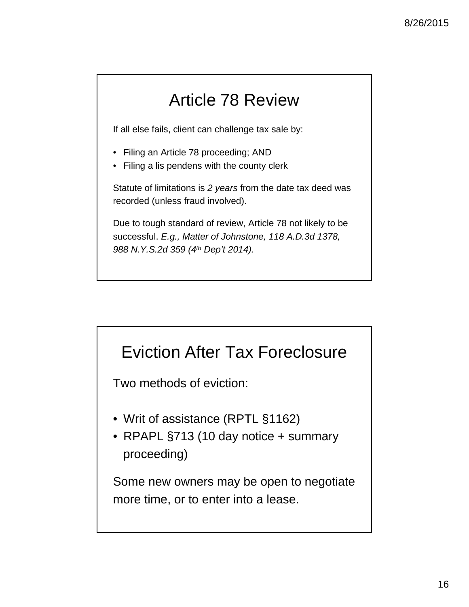# Article 78 Review

If all else fails, client can challenge tax sale by:

- Filing an Article 78 proceeding; AND
- Filing a lis pendens with the county clerk

Statute of limitations is *2 years* from the date tax deed was recorded (unless fraud involved).

Due to tough standard of review, Article 78 not likely to be successful. *E.g., Matter of Johnstone, 118 A.D.3d 1378, 988 N.Y.S.2d 359 (4th Dep't 2014).*

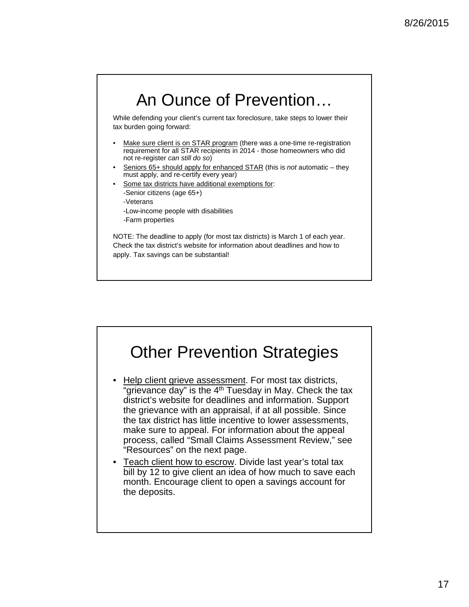### An Ounce of Prevention…

While defending your client's current tax foreclosure, take steps to lower their tax burden going forward:

- Make sure client is on STAR program (there was a one-time re-registration requirement for all STAR recipients in 2014 - those homeowners who did not re-register *can still do so*)
- Seniors 65+ should apply for enhanced STAR (this is *not* automatic they must apply, and re-certify every year)
- Some tax districts have additional exemptions for: -Senior citizens (age 65+) -Veterans -Low-income people with disabilities
	- -Farm properties

NOTE: The deadline to apply (for most tax districts) is March 1 of each year. Check the tax district's website for information about deadlines and how to apply. Tax savings can be substantial!